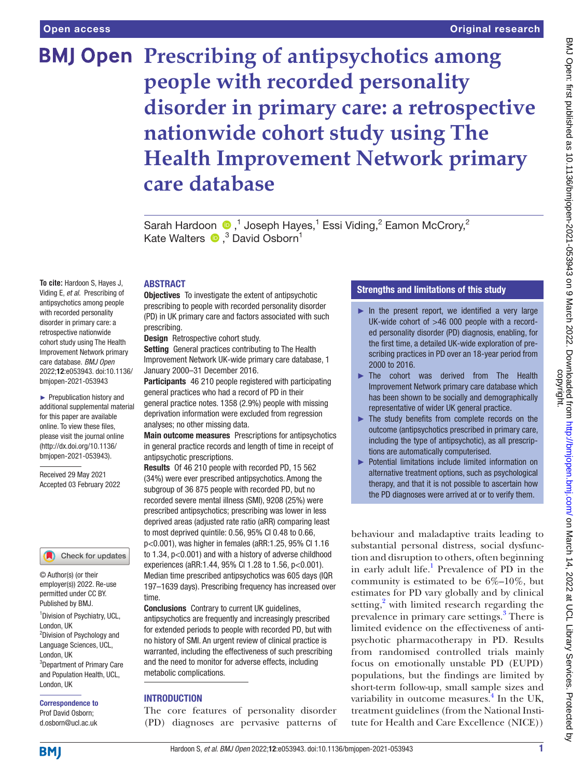**To cite:** Hardoon S, Hayes J, Viding E, *et al*. Prescribing of antipsychotics among people with recorded personality disorder in primary care: a retrospective nationwide cohort study using The Health Improvement Network primary care database. *BMJ Open* 2022;12:e053943. doi:10.1136/ bmjopen-2021-053943 ► Prepublication history and additional supplemental material for this paper are available online. To view these files, please visit the journal online [\(http://dx.doi.org/10.1136/](http://dx.doi.org/10.1136/bmjopen-2021-053943) [bmjopen-2021-053943](http://dx.doi.org/10.1136/bmjopen-2021-053943)). Received 29 May 2021 Accepted 03 February 2022

# **BMJ Open Prescribing of antipsychotics among people with recorded personality disorder in primary care: a retrospective nationwide cohort study using The Health Improvement Network primary care database**

SarahHardoon  $\bigcirc$ ,<sup>1</sup> Joseph Hayes,<sup>1</sup> Essi Viding,<sup>2</sup> Eamon McCrory,<sup>2</sup> KateWalters  $\bullet$ ,<sup>3</sup> David Osborn<sup>1</sup>

#### ABSTRACT

**Objectives** To investigate the extent of antipsychotic prescribing to people with recorded personality disorder (PD) in UK primary care and factors associated with such prescribing.

Design Retrospective cohort study.

Setting General practices contributing to The Health Improvement Network UK-wide primary care database, 1 January 2000–31 December 2016.

Participants 46 210 people registered with participating general practices who had a record of PD in their general practice notes. 1358 (2.9%) people with missing deprivation information were excluded from regression analyses; no other missing data.

Main outcome measures Prescriptions for antipsychotics in general practice records and length of time in receipt of antipsychotic prescriptions.

Results Of 46 210 people with recorded PD, 15 562 (34%) were ever prescribed antipsychotics. Among the subgroup of 36 875 people with recorded PD, but no recorded severe mental illness (SMI), 9208 (25%) were prescribed antipsychotics; prescribing was lower in less deprived areas (adjusted rate ratio (aRR) comparing least to most deprived quintile: 0.56, 95% CI 0.48 to 0.66, p<0.001), was higher in females (aRR:1.25, 95% CI 1.16 to 1.34, p<0.001) and with a history of adverse childhood experiences (aRR:1.44, 95% CI 1.28 to 1.56, p<0.001). Median time prescribed antipsychotics was 605 days (IQR 197–1639 days). Prescribing frequency has increased over time.

Conclusions Contrary to current UK guidelines, antipsychotics are frequently and increasingly prescribed for extended periods to people with recorded PD, but with no history of SMI. An urgent review of clinical practice is warranted, including the effectiveness of such prescribing and the need to monitor for adverse effects, including metabolic complications.

## **INTRODUCTION**

The core features of personality disorder (PD) diagnoses are pervasive patterns of

## Strengths and limitations of this study

- $\blacktriangleright$  In the present report, we identified a very large UK-wide cohort of >46 000 people with a recorded personality disorder (PD) diagnosis, enabling, for the first time, a detailed UK-wide exploration of prescribing practices in PD over an 18-year period from 2000 to 2016.
- The cohort was derived from The Health Improvement Network primary care database which has been shown to be socially and demographically representative of wider UK general practice.
- ► The study benefits from complete records on the outcome (antipsychotics prescribed in primary care, including the type of antipsychotic), as all prescriptions are automatically computerised.
- ► Potential limitations include limited information on alternative treatment options, such as psychological therapy, and that it is not possible to ascertain how the PD diagnoses were arrived at or to verify them.

behaviour and maladaptive traits leading to substantial personal distress, social dysfunction and disruption to others, often beginning in early adult life.<sup>[1](#page-10-0)</sup> Prevalence of PD in the community is estimated to be  $6\%$ – $10\%$ , but estimates for PD vary globally and by clinical setting,<sup>[2](#page-10-1)</sup> with limited research regarding the prevalence in primary care settings.<sup>[3](#page-10-2)</sup> There is limited evidence on the effectiveness of antipsychotic pharmacotherapy in PD. Results from randomised controlled trials mainly focus on emotionally unstable PD (EUPD) populations, but the findings are limited by short-term follow-up, small sample sizes and variability in outcome measures.<sup>[4](#page-10-3)</sup> In the UK, treatment guidelines (from the National Institute for Health and Care Excellence (NICE))

**BMI** 

1 Division of Psychiatry, UCL,

Check for updates

© Author(s) (or their employer(s)) 2022. Re-use permitted under CC BY. Published by BMJ.

<sup>2</sup>Division of Psychology and Language Sciences, UCL,

3 Department of Primary Care and Population Health, UCL,

London, UK

London, UK

London, UK

Correspondence to Prof David Osborn; d.osborn@ucl.ac.uk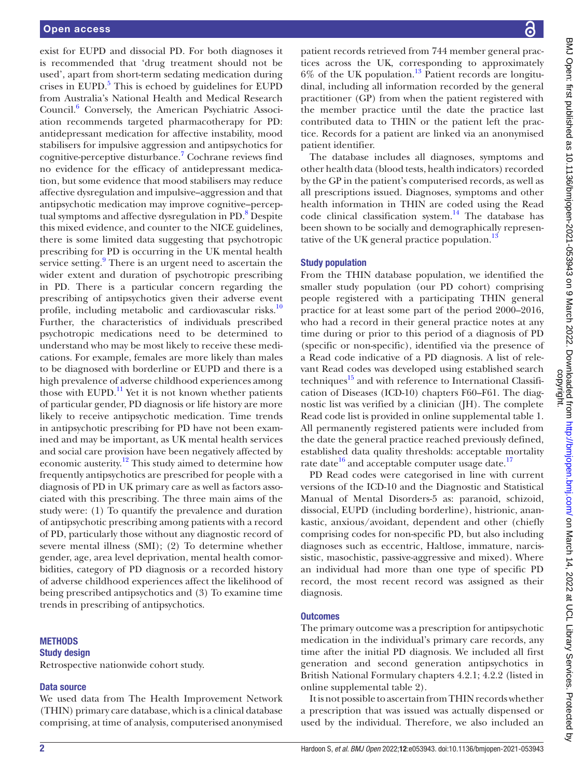exist for EUPD and dissocial PD. For both diagnoses it is recommended that 'drug treatment should not be used', apart from short-term sedating medication during crises in EUPD. $5$  This is echoed by guidelines for EUPD from Australia's National Health and Medical Research Council.<sup>[6](#page-10-5)</sup> Conversely, the American Psychiatric Association recommends targeted pharmacotherapy for PD: antidepressant medication for affective instability, mood stabilisers for impulsive aggression and antipsychotics for cognitive-perceptive disturbance.<sup>[7](#page-10-6)</sup> Cochrane reviews find no evidence for the efficacy of antidepressant medication, but some evidence that mood stabilisers may reduce affective dysregulation and impulsive–aggression and that antipsychotic medication may improve cognitive–percep-tual symptoms and affective dysregulation in PD.<sup>[8](#page-10-7)</sup> Despite this mixed evidence, and counter to the NICE guidelines, there is some limited data suggesting that psychotropic prescribing for PD is occurring in the UK mental health service setting.<sup>[9](#page-10-8)</sup> There is an urgent need to ascertain the wider extent and duration of psychotropic prescribing in PD. There is a particular concern regarding the prescribing of antipsychotics given their adverse event profile, including metabolic and cardiovascular risks.<sup>10</sup> Further, the characteristics of individuals prescribed psychotropic medications need to be determined to understand who may be most likely to receive these medications. For example, females are more likely than males to be diagnosed with borderline or EUPD and there is a high prevalence of adverse childhood experiences among those with EUPD.<sup>11</sup> Yet it is not known whether patients of particular gender, PD diagnosis or life history are more likely to receive antipsychotic medication. Time trends in antipsychotic prescribing for PD have not been examined and may be important, as UK mental health services and social care provision have been negatively affected by economic austerity.[12](#page-11-2) This study aimed to determine how frequently antipsychotics are prescribed for people with a diagnosis of PD in UK primary care as well as factors associated with this prescribing. The three main aims of the study were: (1) To quantify the prevalence and duration of antipsychotic prescribing among patients with a record of PD, particularly those without any diagnostic record of severe mental illness (SMI); (2) To determine whether gender, age, area level deprivation, mental health comorbidities, category of PD diagnosis or a recorded history of adverse childhood experiences affect the likelihood of being prescribed antipsychotics and (3) To examine time trends in prescribing of antipsychotics.

#### **METHODS**

#### Study design

Retrospective nationwide cohort study.

#### Data source

We used data from The Health Improvement Network (THIN) primary care database, which is a clinical database comprising, at time of analysis, computerised anonymised BMJ Open: first published as 10.1136/bmjopen-2021-053943 on 9 March 2022. Downloaded from http://bmjopen.bmj.com/ on March 14, 2022 at UCL Library Services. Protected by<br>copyright. BMJ Open: first published as 10.1136/bmjopen-2021-053943 on 9 March 2022. Downloaded from <http://bmjopen.bmj.com/> on March 14, 2022 at UCL Library Services. Protected by

patient records retrieved from 744 member general practices across the UK, corresponding to approximately  $6\%$  of the UK population.<sup>13</sup> Patient records are longitudinal, including all information recorded by the general practitioner (GP) from when the patient registered with the member practice until the date the practice last contributed data to THIN or the patient left the practice. Records for a patient are linked via an anonymised patient identifier.

The database includes all diagnoses, symptoms and other health data (blood tests, health indicators) recorded by the GP in the patient's computerised records, as well as all prescriptions issued. Diagnoses, symptoms and other health information in THIN are coded using the Read code clinical classification system.<sup>14</sup> The database has been shown to be socially and demographically representative of the UK general practice population. $^{13}$ 

#### Study population

From the THIN database population, we identified the smaller study population (our PD cohort) comprising people registered with a participating THIN general practice for at least some part of the period 2000–2016, who had a record in their general practice notes at any time during or prior to this period of a diagnosis of PD (specific or non-specific), identified via the presence of a Read code indicative of a PD diagnosis. A list of relevant Read codes was developed using established search techniques $15$  and with reference to International Classification of Diseases (ICD-10) chapters F60–F61. The diagnostic list was verified by a clinician (JH). The complete Read code list is provided in [online supplemental table 1](https://dx.doi.org/10.1136/bmjopen-2021-053943). All permanently registered patients were included from the date the general practice reached previously defined, established data quality thresholds: acceptable mortality rate date $16$  and acceptable computer usage date.<sup>17</sup>

PD Read codes were categorised in line with current versions of the ICD-10 and the Diagnostic and Statistical Manual of Mental Disorders-5 as: paranoid, schizoid, dissocial, EUPD (including borderline), histrionic, anankastic, anxious/avoidant, dependent and other (chiefly comprising codes for non-specific PD, but also including diagnoses such as eccentric, Haltlose, immature, narcissistic, masochistic, passive-aggressive and mixed). Where an individual had more than one type of specific PD record, the most recent record was assigned as their diagnosis.

#### **Outcomes**

The primary outcome was a prescription for antipsychotic medication in the individual's primary care records, any time after the initial PD diagnosis. We included all first generation and second generation antipsychotics in British National Formulary chapters 4.2.1; 4.2.2 (listed in [online supplemental table 2\)](https://dx.doi.org/10.1136/bmjopen-2021-053943).

It is not possible to ascertain from THIN records whether a prescription that was issued was actually dispensed or used by the individual. Therefore, we also included an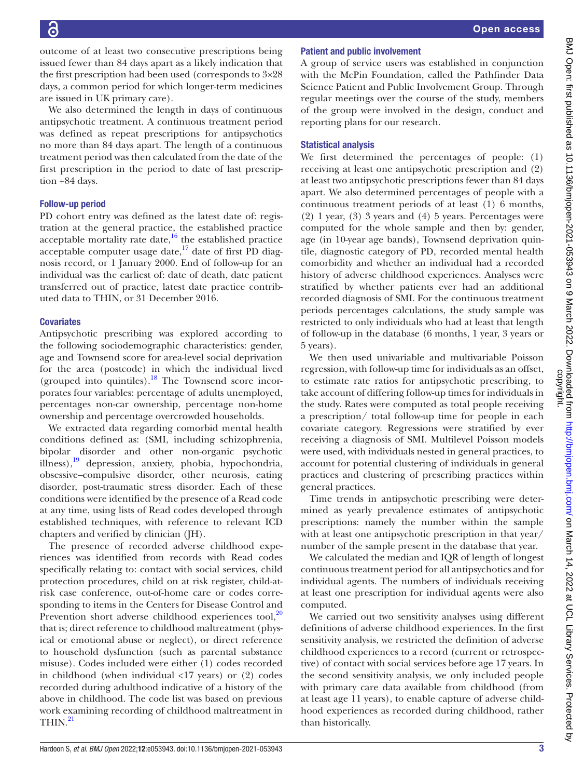outcome of at least two consecutive prescriptions being issued fewer than 84 days apart as a likely indication that the first prescription had been used (corresponds to 3×28 days, a common period for which longer-term medicines are issued in UK primary care).

We also determined the length in days of continuous antipsychotic treatment. A continuous treatment period was defined as repeat prescriptions for antipsychotics no more than 84 days apart. The length of a continuous treatment period was then calculated from the date of the first prescription in the period to date of last prescription +84 days.

## Follow-up period

PD cohort entry was defined as the latest date of: registration at the general practice, the established practice acceptable mortality rate date, $16$  the established practice acceptable computer usage date, $17$  date of first PD diagnosis record, or 1 January 2000. End of follow-up for an individual was the earliest of: date of death, date patient transferred out of practice, latest date practice contributed data to THIN, or 31 December 2016.

## **Covariates**

Antipsychotic prescribing was explored according to the following sociodemographic characteristics: gender, age and Townsend score for area-level social deprivation for the area (postcode) in which the individual lived (grouped into quintiles).<sup>[18](#page-11-8)</sup> The Townsend score incorporates four variables: percentage of adults unemployed, percentages non-car ownership, percentage non-home ownership and percentage overcrowded households.

We extracted data regarding comorbid mental health conditions defined as: (SMI, including schizophrenia, bipolar disorder and other non-organic psychotic illness)[,19](#page-11-9) depression, anxiety, phobia, hypochondria, obsessive–compulsive disorder, other neurosis, eating disorder, post-traumatic stress disorder. Each of these conditions were identified by the presence of a Read code at any time, using lists of Read codes developed through established techniques, with reference to relevant ICD chapters and verified by clinician (JH).

The presence of recorded adverse childhood experiences was identified from records with Read codes specifically relating to: contact with social services, child protection procedures, child on at risk register, child-atrisk case conference, out-of-home care or codes corresponding to items in the Centers for Disease Control and Prevention short adverse childhood experiences tool, $20$ that is; direct reference to childhood maltreatment (physical or emotional abuse or neglect), or direct reference to household dysfunction (such as parental substance misuse). Codes included were either (1) codes recorded in childhood (when individual  $\langle 17 \rangle$  years) or (2) codes recorded during adulthood indicative of a history of the above in childhood. The code list was based on previous work examining recording of childhood maltreatment in  $THIN.<sup>21</sup>$  $THIN.<sup>21</sup>$  $THIN.<sup>21</sup>$ 

# Patient and public involvement

A group of service users was established in conjunction with the McPin Foundation, called the Pathfinder Data Science Patient and Public Involvement Group. Through regular meetings over the course of the study, members of the group were involved in the design, conduct and reporting plans for our research.

## Statistical analysis

We first determined the percentages of people: (1) receiving at least one antipsychotic prescription and (2) at least two antipsychotic prescriptions fewer than 84 days apart. We also determined percentages of people with a continuous treatment periods of at least (1) 6 months, (2) 1 year, (3) 3 years and (4) 5 years. Percentages were computed for the whole sample and then by: gender, age (in 10-year age bands), Townsend deprivation quintile, diagnostic category of PD, recorded mental health comorbidity and whether an individual had a recorded history of adverse childhood experiences. Analyses were stratified by whether patients ever had an additional recorded diagnosis of SMI. For the continuous treatment periods percentages calculations, the study sample was restricted to only individuals who had at least that length of follow-up in the database (6 months, 1 year, 3 years or 5 years).

We then used univariable and multivariable Poisson regression, with follow-up time for individuals as an offset, to estimate rate ratios for antipsychotic prescribing, to take account of differing follow-up times for individuals in the study. Rates were computed as total people receiving a prescription/ total follow-up time for people in each covariate category. Regressions were stratified by ever receiving a diagnosis of SMI. Multilevel Poisson models were used, with individuals nested in general practices, to account for potential clustering of individuals in general practices and clustering of prescribing practices within general practices.

Time trends in antipsychotic prescribing were determined as yearly prevalence estimates of antipsychotic prescriptions: namely the number within the sample with at least one antipsychotic prescription in that year/ number of the sample present in the database that year.

We calculated the median and IQR of length of longest continuous treatment period for all antipsychotics and for individual agents. The numbers of individuals receiving at least one prescription for individual agents were also computed.

We carried out two sensitivity analyses using different definitions of adverse childhood experiences. In the first sensitivity analysis, we restricted the definition of adverse childhood experiences to a record (current or retrospective) of contact with social services before age 17 years. In the second sensitivity analysis, we only included people with primary care data available from childhood (from at least age 11 years), to enable capture of adverse childhood experiences as recorded during childhood, rather than historically.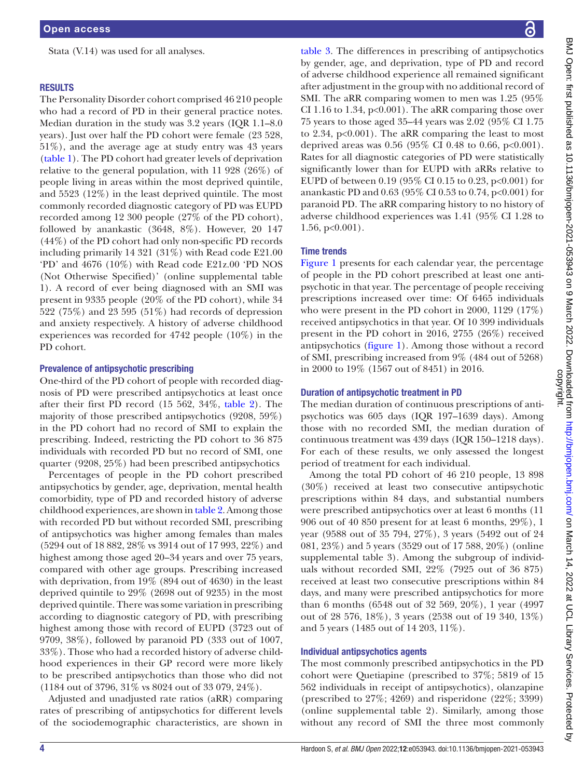Stata (V.14) was used for all analyses.

#### **RESULTS**

The Personality Disorder cohort comprised 46 210 people who had a record of PD in their general practice notes. Median duration in the study was 3.2 years (IQR 1.1–8.0 years). Just over half the PD cohort were female (23 528, 51%), and the average age at study entry was 43 years ([table](#page-4-0) 1). The PD cohort had greater levels of deprivation relative to the general population, with 11 928 (26%) of people living in areas within the most deprived quintile, and 5523 (12%) in the least deprived quintile. The most commonly recorded diagnostic category of PD was EUPD recorded among 12 300 people (27% of the PD cohort), followed by anankastic (3648, 8%). However, 20 147 (44%) of the PD cohort had only non-specific PD records including primarily 14 321 (31%) with Read code E21.00 'PD' and 4676 (10%) with Read code E21z.00 'PD NOS (Not Otherwise Specified)' ([online supplemental table](https://dx.doi.org/10.1136/bmjopen-2021-053943) [1\)](https://dx.doi.org/10.1136/bmjopen-2021-053943). A record of ever being diagnosed with an SMI was present in 9335 people (20% of the PD cohort), while 34 522 (75%) and 23 595 (51%) had records of depression and anxiety respectively. A history of adverse childhood experiences was recorded for 4742 people (10%) in the PD cohort.

#### Prevalence of antipsychotic prescribing

One-third of the PD cohort of people with recorded diagnosis of PD were prescribed antipsychotics at least once after their first PD record (15 562, 34%, [table](#page-6-0) 2). The majority of those prescribed antipsychotics (9208, 59%) in the PD cohort had no record of SMI to explain the prescribing. Indeed, restricting the PD cohort to 36 875 individuals with recorded PD but no record of SMI, one quarter (9208, 25%) had been prescribed antipsychotics

Percentages of people in the PD cohort prescribed antipsychotics by gender, age, deprivation, mental health comorbidity, type of PD and recorded history of adverse childhood experiences, are shown in [table](#page-6-0) 2. Among those with recorded PD but without recorded SMI, prescribing of antipsychotics was higher among females than males (5294 out of 18 882, 28% vs 3914 out of 17 993, 22%) and highest among those aged 20–34 years and over 75 years, compared with other age groups. Prescribing increased with deprivation, from 19% (894 out of 4630) in the least deprived quintile to 29% (2698 out of 9235) in the most deprived quintile. There was some variation in prescribing according to diagnostic category of PD, with prescribing highest among those with record of EUPD (3723 out of 9709, 38%), followed by paranoid PD (333 out of 1007, 33%). Those who had a recorded history of adverse childhood experiences in their GP record were more likely to be prescribed antipsychotics than those who did not (1184 out of 3796, 31% vs 8024 out of 33 079, 24%).

Adjusted and unadjusted rate ratios (aRR) comparing rates of prescribing of antipsychotics for different levels of the sociodemographic characteristics, are shown in

[table](#page-8-0) 3. The differences in prescribing of antipsychotics by gender, age, and deprivation, type of PD and record of adverse childhood experience all remained significant after adjustment in the group with no additional record of SMI. The aRR comparing women to men was 1.25 (95% CI 1.16 to 1.34,  $p<0.001$ ). The aRR comparing those over 75 years to those aged 35–44 years was 2.02 (95% CI 1.75 to 2.34,  $p<0.001$ ). The aRR comparing the least to most deprived areas was  $0.56$  (95% CI 0.48 to 0.66, p<0.001). Rates for all diagnostic categories of PD were statistically significantly lower than for EUPD with aRRs relative to EUPD of between 0.19 (95% CI 0.15 to 0.23,  $p<0.001$ ) for anankastic PD and 0.63 (95% CI 0.53 to 0.74, p<0.001) for paranoid PD. The aRR comparing history to no history of adverse childhood experiences was 1.41 (95% CI 1.28 to  $1.56, p<0.001$ ).

#### Time trends

[Figure](#page-9-0) 1 presents for each calendar year, the percentage of people in the PD cohort prescribed at least one antipsychotic in that year. The percentage of people receiving prescriptions increased over time: Of 6465 individuals who were present in the PD cohort in 2000, 1129 (17%) received antipsychotics in that year. Of 10 399 individuals present in the PD cohort in 2016, 2755 (26%) received antipsychotics [\(figure](#page-9-0) 1). Among those without a record of SMI, prescribing increased from 9% (484 out of 5268) in 2000 to 19% (1567 out of 8451) in 2016.

#### Duration of antipsychotic treatment in PD

The median duration of continuous prescriptions of antipsychotics was 605 days (IQR 197–1639 days). Among those with no recorded SMI, the median duration of continuous treatment was 439 days (IQR 150–1218 days). For each of these results, we only assessed the longest period of treatment for each individual.

Among the total PD cohort of 46 210 people, 13 898 (30%) received at least two consecutive antipsychotic prescriptions within 84 days, and substantial numbers were prescribed antipsychotics over at least 6 months (11 906 out of 40 850 present for at least 6 months, 29%), 1 year (9588 out of 35 794, 27%), 3 years (5492 out of 24 081, 23%) and 5 years (3529 out of 17 588, 20%) ([online](https://dx.doi.org/10.1136/bmjopen-2021-053943)  [supplemental table 3](https://dx.doi.org/10.1136/bmjopen-2021-053943)). Among the subgroup of individuals without recorded SMI, 22% (7925 out of 36 875) received at least two consecutive prescriptions within 84 days, and many were prescribed antipsychotics for more than 6 months (6548 out of 32 569, 20%), 1 year (4997 out of 28 576, 18%), 3 years (2538 out of 19 340, 13%) and 5 years (1485 out of 14 203, 11%).

#### Individual antipsychotics agents

The most commonly prescribed antipsychotics in the PD cohort were Quetiapine (prescribed to 37%; 5819 of 15 562 individuals in receipt of antipsychotics), olanzapine (prescribed to 27%; 4269) and risperidone (22%; 3399) [\(online supplemental table 2\)](https://dx.doi.org/10.1136/bmjopen-2021-053943). Similarly, among those without any record of SMI the three most commonly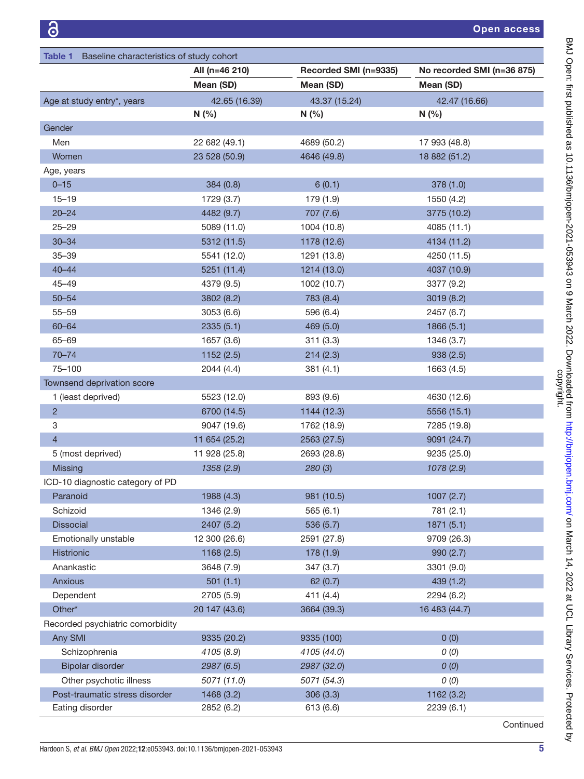<span id="page-4-0"></span>

| Baseline characteristics of study cohort<br>Table 1 |                |                       |                            |
|-----------------------------------------------------|----------------|-----------------------|----------------------------|
|                                                     | All (n=46 210) | Recorded SMI (n=9335) | No recorded SMI (n=36 875) |
|                                                     | Mean (SD)      | Mean (SD)             | Mean (SD)                  |
| Age at study entry*, years                          | 42.65 (16.39)  | 43.37 (15.24)         | 42.47 (16.66)              |
|                                                     | N(%            | N(%                   | N(%                        |
| Gender                                              |                |                       |                            |
| Men                                                 | 22 682 (49.1)  | 4689 (50.2)           | 17 993 (48.8)              |
| Women                                               | 23 528 (50.9)  | 4646 (49.8)           | 18 882 (51.2)              |
| Age, years                                          |                |                       |                            |
| $0 - 15$                                            | 384(0.8)       | 6(0.1)                | 378(1.0)                   |
| $15 - 19$                                           | 1729 (3.7)     | 179 (1.9)             | 1550 (4.2)                 |
| $20 - 24$                                           | 4482 (9.7)     | 707 (7.6)             | 3775 (10.2)                |
| $25 - 29$                                           | 5089 (11.0)    | 1004 (10.8)           | 4085 (11.1)                |
| $30 - 34$                                           | 5312 (11.5)    | 1178 (12.6)           | 4134 (11.2)                |
| $35 - 39$                                           | 5541 (12.0)    | 1291 (13.8)           | 4250 (11.5)                |
| $40 - 44$                                           | 5251 (11.4)    | 1214 (13.0)           | 4037 (10.9)                |
| $45 - 49$                                           | 4379 (9.5)     | 1002 (10.7)           | 3377 (9.2)                 |
| $50 - 54$                                           | 3802 (8.2)     | 783 (8.4)             | 3019 (8.2)                 |
| $55 - 59$                                           | 3053(6.6)      | 596 (6.4)             | 2457 (6.7)                 |
| $60 - 64$                                           | 2335(5.1)      | 469 (5.0)             | 1866 (5.1)                 |
| 65-69                                               | 1657 (3.6)     | 311(3.3)              | 1346 (3.7)                 |
| $70 - 74$                                           | 1152(2.5)      | 214(2.3)              | 938(2.5)                   |
| 75-100                                              | 2044 (4.4)     | 381(4.1)              | 1663 (4.5)                 |
| Townsend deprivation score                          |                |                       |                            |
| 1 (least deprived)                                  | 5523 (12.0)    | 893 (9.6)             | 4630 (12.6)                |
| $\overline{c}$                                      | 6700 (14.5)    | 1144 (12.3)           | 5556 (15.1)                |
| 3                                                   | 9047 (19.6)    | 1762 (18.9)           | 7285 (19.8)                |
| 4                                                   | 11 654 (25.2)  | 2563 (27.5)           | 9091 (24.7)                |
| 5 (most deprived)                                   | 11 928 (25.8)  | 2693 (28.8)           | 9235 (25.0)                |
| <b>Missing</b>                                      | 1358 (2.9)     | 280(3)                | 1078 (2.9)                 |
| ICD-10 diagnostic category of PD                    |                |                       |                            |
| Paranoid                                            | 1988 (4.3)     | 981 (10.5)            | 1007(2.7)                  |
| Schizoid                                            | 1346 (2.9)     | 565(6.1)              | 781 (2.1)                  |
| <b>Dissocial</b>                                    | 2407 (5.2)     | 536 (5.7)             | 1871(5.1)                  |
| Emotionally unstable                                | 12 300 (26.6)  | 2591 (27.8)           | 9709 (26.3)                |
| Histrionic                                          | 1168(2.5)      | 178 (1.9)             | 990(2.7)                   |
| Anankastic                                          | 3648 (7.9)     | 347 (3.7)             | 3301 (9.0)                 |
| Anxious                                             | 501(1.1)       | 62(0.7)               | 439(1.2)                   |
| Dependent                                           | 2705 (5.9)     | 411 (4.4)             | 2294 (6.2)                 |
| Other*                                              | 20 147 (43.6)  | 3664 (39.3)           | 16 483 (44.7)              |
| Recorded psychiatric comorbidity                    |                |                       |                            |
| Any SMI                                             | 9335 (20.2)    | 9335 (100)            | 0(0)                       |
| Schizophrenia                                       | 4105 (8.9)     | 4105 (44.0)           | O(0)                       |
| Bipolar disorder                                    | 2987 (6.5)     | 2987 (32.0)           | O(0)                       |
| Other psychotic illness                             | 5071 (11.0)    | 5071 (54.3)           | O(0)                       |
| Post-traumatic stress disorder                      | 1468 (3.2)     | 306 (3.3)             | 1162 (3.2)                 |
| Eating disorder                                     | 2852 (6.2)     | 613 (6.6)             | 2239(6.1)                  |

**Continued**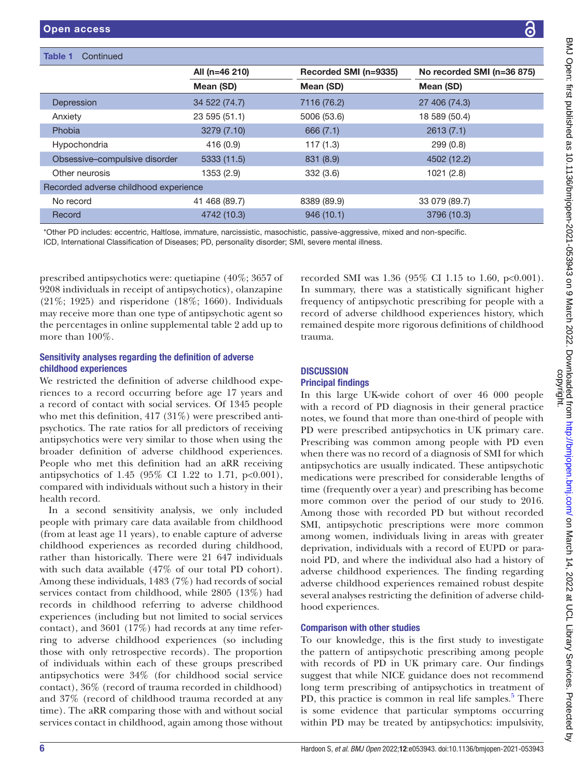Table 1 Continued

|                                       | All (n=46 210) | Recorded SMI (n=9335) | No recorded SMI (n=36 875) |
|---------------------------------------|----------------|-----------------------|----------------------------|
|                                       | Mean (SD)      | Mean (SD)             | Mean (SD)                  |
| Depression                            | 34 522 (74.7)  | 7116 (76.2)           | 27 406 (74.3)              |
| Anxiety                               | 23 595 (51.1)  | 5006 (53.6)           | 18 589 (50.4)              |
| Phobia                                | 3279 (7.10)    | 666(7.1)              | 2613(7.1)                  |
| Hypochondria                          | 416 (0.9)      | 117(1.3)              | 299(0.8)                   |
| Obsessive-compulsive disorder         | 5333 (11.5)    | 831 (8.9)             | 4502 (12.2)                |
| Other neurosis                        | 1353 (2.9)     | 332(3.6)              | 1021(2.8)                  |
| Recorded adverse childhood experience |                |                       |                            |
| No record                             | 41 468 (89.7)  | 8389 (89.9)           | 33 079 (89.7)              |
| Record                                | 4742 (10.3)    | 946(10.1)             | 3796 (10.3)                |

\*Other PD includes: eccentric, Haltlose, immature, narcissistic, masochistic, passive-aggressive, mixed and non-specific. ICD, International Classification of Diseases; PD, personality disorder; SMI, severe mental illness.

prescribed antipsychotics were: quetiapine (40%; 3657 of 9208 individuals in receipt of antipsychotics), olanzapine (21%; 1925) and risperidone (18%; 1660). Individuals may receive more than one type of antipsychotic agent so the percentages in [online supplemental table 2](https://dx.doi.org/10.1136/bmjopen-2021-053943) add up to more than 100%.

## Sensitivity analyses regarding the definition of adverse childhood experiences

We restricted the definition of adverse childhood experiences to a record occurring before age 17 years and a record of contact with social services. Of 1345 people who met this definition, 417 (31%) were prescribed antipsychotics. The rate ratios for all predictors of receiving antipsychotics were very similar to those when using the broader definition of adverse childhood experiences. People who met this definition had an aRR receiving antipsychotics of 1.45 (95% CI 1.22 to 1.71, p<0.001), compared with individuals without such a history in their health record.

In a second sensitivity analysis, we only included people with primary care data available from childhood (from at least age 11 years), to enable capture of adverse childhood experiences as recorded during childhood, rather than historically. There were 21 647 individuals with such data available (47% of our total PD cohort). Among these individuals, 1483 (7%) had records of social services contact from childhood, while 2805 (13%) had records in childhood referring to adverse childhood experiences (including but not limited to social services contact), and 3601 (17%) had records at any time referring to adverse childhood experiences (so including those with only retrospective records). The proportion of individuals within each of these groups prescribed antipsychotics were 34% (for childhood social service contact), 36% (record of trauma recorded in childhood) and 37% (record of childhood trauma recorded at any time). The aRR comparing those with and without social services contact in childhood, again among those without

recorded SMI was 1.36 (95% CI 1.15 to 1.60, p<0.001). In summary, there was a statistically significant higher frequency of antipsychotic prescribing for people with a record of adverse childhood experiences history, which remained despite more rigorous definitions of childhood trauma.

## **DISCUSSION** Principal findings

In this large UK-wide cohort of over 46 000 people with a record of PD diagnosis in their general practice notes, we found that more than one-third of people with PD were prescribed antipsychotics in UK primary care. Prescribing was common among people with PD even when there was no record of a diagnosis of SMI for which antipsychotics are usually indicated. These antipsychotic medications were prescribed for considerable lengths of time (frequently over a year) and prescribing has become more common over the period of our study to 2016. Among those with recorded PD but without recorded SMI, antipsychotic prescriptions were more common among women, individuals living in areas with greater deprivation, individuals with a record of EUPD or paranoid PD, and where the individual also had a history of adverse childhood experiences. The finding regarding adverse childhood experiences remained robust despite several analyses restricting the definition of adverse childhood experiences.

## Comparison with other studies

To our knowledge, this is the first study to investigate the pattern of antipsychotic prescribing among people with records of PD in UK primary care. Our findings suggest that while NICE guidance does not recommend long term prescribing of antipsychotics in treatment of PD, this practice is common in real life samples.<sup>5</sup> There is some evidence that particular symptoms occurring within PD may be treated by antipsychotics: impulsivity,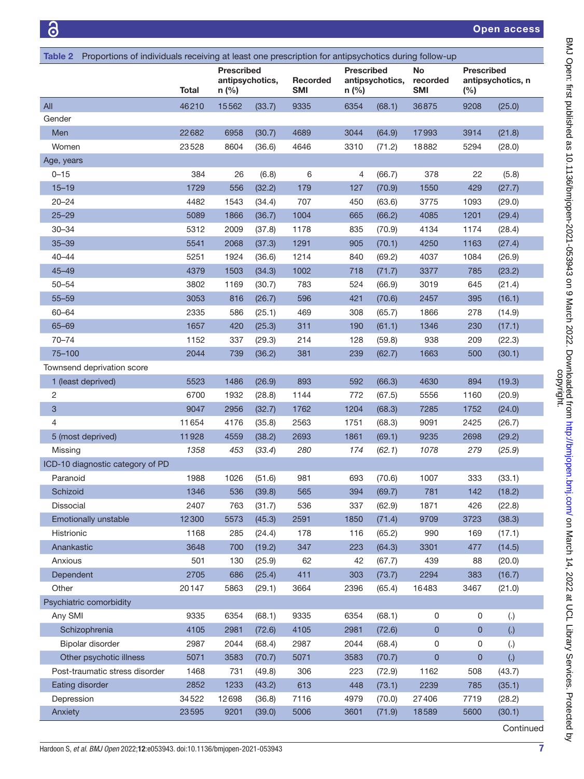<span id="page-6-0"></span>

| Table 2 Proportions of individuals receiving at least one prescription for antipsychotics during follow-up |               |                                                 |            |                        |                              |                 |                       |                             |                    |
|------------------------------------------------------------------------------------------------------------|---------------|-------------------------------------------------|------------|------------------------|------------------------------|-----------------|-----------------------|-----------------------------|--------------------|
|                                                                                                            | Total         | <b>Prescribed</b><br>antipsychotics,<br>$n$ (%) |            | Recorded<br><b>SMI</b> | <b>Prescribed</b><br>$n$ (%) | antipsychotics, | No<br>recorded<br>SMI | <b>Prescribed</b><br>$(\%)$ | antipsychotics, n  |
| All                                                                                                        | 46210         | 15562                                           | (33.7)     | 9335                   | 6354                         | (68.1)          | 36875                 | 9208                        | (25.0)             |
| Gender                                                                                                     |               |                                                 |            |                        |                              |                 |                       |                             |                    |
| Men                                                                                                        | 22682         | 6958                                            | (30.7)     | 4689                   | 3044                         | (64.9)          | 17993                 | 3914                        | (21.8)             |
| Women                                                                                                      | 23528         | 8604                                            | (36.6)     | 4646                   | 3310                         | (71.2)          | 18882                 | 5294                        | (28.0)             |
| Age, years                                                                                                 |               |                                                 |            |                        |                              |                 |                       |                             |                    |
| $0 - 15$                                                                                                   | 384           | 26                                              | (6.8)      | 6                      | 4                            | (66.7)          | 378                   | 22                          | (5.8)              |
| $15 - 19$                                                                                                  | 1729          | 556                                             | (32.2)     | 179                    | 127                          | (70.9)          | 1550                  | 429                         | (27.7)             |
| $20 - 24$                                                                                                  | 4482          | 1543                                            | (34.4)     | 707                    | 450                          | (63.6)          | 3775                  | 1093                        | (29.0)             |
| $25 - 29$                                                                                                  | 5089          | 1866                                            | (36.7)     | 1004                   | 665                          | (66.2)          | 4085                  | 1201                        | (29.4)             |
| $30 - 34$                                                                                                  | 5312          | 2009                                            | (37.8)     | 1178                   | 835                          | (70.9)          | 4134                  | 1174                        | (28.4)             |
| $35 - 39$                                                                                                  | 5541          | 2068                                            | (37.3)     | 1291                   | 905                          | (70.1)          | 4250                  | 1163                        | (27.4)             |
| $40 - 44$                                                                                                  | 5251          | 1924                                            | (36.6)     | 1214                   | 840                          | (69.2)          | 4037                  | 1084                        | (26.9)             |
| $45 - 49$                                                                                                  | 4379          | 1503                                            | (34.3)     | 1002                   | 718                          | (71.7)          | 3377                  | 785                         | (23.2)             |
| $50 - 54$                                                                                                  | 3802          | 1169                                            | (30.7)     | 783                    | 524                          | (66.9)          | 3019                  | 645                         | (21.4)             |
| $55 - 59$                                                                                                  | 3053          | 816                                             | (26.7)     | 596                    | 421                          | (70.6)          | 2457                  | 395                         | (16.1)             |
| 60-64                                                                                                      | 2335          | 586                                             | (25.1)     | 469                    | 308                          | (65.7)          | 1866                  | 278                         | (14.9)             |
| 65-69                                                                                                      | 1657          | 420                                             | (25.3)     | 311                    | 190                          | (61.1)          | 1346                  | 230                         | (17.1)             |
| $70 - 74$                                                                                                  | 1152          | 337                                             | (29.3)     | 214                    | 128                          | (59.8)          | 938                   | 209                         | (22.3)             |
| 75-100                                                                                                     | 2044          | 739                                             | (36.2)     | 381                    | 239                          | (62.7)          | 1663                  | 500                         | (30.1)             |
| Townsend deprivation score                                                                                 |               |                                                 |            |                        |                              |                 |                       |                             |                    |
| 1 (least deprived)                                                                                         | 5523          | 1486                                            | (26.9)     | 893                    | 592                          | (66.3)          | 4630                  | 894                         | (19.3)             |
| 2                                                                                                          | 6700          | 1932                                            | (28.8)     | 1144                   | 772                          | (67.5)          | 5556                  | 1160                        | (20.9)             |
| 3                                                                                                          | 9047          | 2956                                            | (32.7)     | 1762                   | 1204                         | (68.3)          | 7285                  | 1752                        | (24.0)             |
| 4                                                                                                          | 11654         | 4176                                            | (35.8)     | 2563                   | 1751                         | (68.3)          | 9091                  | 2425                        | (26.7)             |
| 5 (most deprived)                                                                                          | 11928         | 4559                                            | (38.2)     | 2693                   | 1861                         | (69.1)          | 9235                  | 2698                        | (29.2)             |
| Missing                                                                                                    | 1358          | 453                                             | (33.4)     | 280                    | 174                          | (62.1)          | 1078                  | 279                         | (25.9)             |
| ICD-10 diagnostic category of PD                                                                           |               |                                                 |            |                        |                              |                 |                       |                             |                    |
| Paranoid                                                                                                   | 1988          | 1026                                            | (51.6)     | 981                    | 693                          | (70.6)          | 1007                  | 333                         | (33.1)             |
| Schizoid                                                                                                   | 1346          |                                                 | 536 (39.8) | 565                    | 394                          | (69.7)          | 781                   | 142                         | (18.2)             |
| <b>Dissocial</b>                                                                                           | 2407          | 763                                             | (31.7)     | 536                    | 337                          | (62.9)          | 1871                  | 426                         | (22.8)             |
| Emotionally unstable                                                                                       | 12300         | 5573                                            | (45.3)     | 2591                   | 1850                         | (71.4)          | 9709                  | 3723                        | (38.3)             |
| Histrionic                                                                                                 | 1168          | 285                                             | (24.4)     | 178                    | 116                          | (65.2)          | 990                   | 169                         | (17.1)             |
| Anankastic                                                                                                 | 3648          | 700                                             | (19.2)     | 347                    | 223                          | (64.3)          | 3301                  | 477                         | (14.5)             |
| Anxious                                                                                                    | 501           | 130                                             | (25.9)     | 62                     | 42                           |                 | 439                   | 88                          | (20.0)             |
|                                                                                                            |               |                                                 |            | 411                    |                              | (67.7)          |                       |                             |                    |
| Dependent<br>Other                                                                                         | 2705<br>20147 | 686                                             | (25.4)     |                        | 303                          | (73.7)          | 2294                  | 383                         | (16.7)             |
|                                                                                                            |               | 5863                                            | (29.1)     | 3664                   | 2396                         | (65.4)          | 16483                 | 3467                        | (21.0)             |
| Psychiatric comorbidity<br>Any SMI                                                                         | 9335          | 6354                                            | (68.1)     | 9335                   | 6354                         | (68.1)          | $\mathsf 0$           | 0                           |                    |
|                                                                                                            |               |                                                 |            |                        |                              |                 |                       |                             | $\left( . \right)$ |
| Schizophrenia                                                                                              | 4105          | 2981                                            | (72.6)     | 4105                   | 2981                         | (72.6)          | $\mathbf 0$           | 0                           | $\left(.\right)$   |
| Bipolar disorder                                                                                           | 2987          | 2044                                            | (68.4)     | 2987                   | 2044                         | (68.4)          | 0                     | 0                           | $\left( . \right)$ |
| Other psychotic illness                                                                                    | 5071          | 3583                                            | (70.7)     | 5071                   | 3583                         | (70.7)          | $\pmb{0}$             | 0                           | $\left(.\right)$   |
| Post-traumatic stress disorder                                                                             | 1468          | 731                                             | (49.8)     | 306                    | 223                          | (72.9)          | 1162                  | 508                         | (43.7)             |
| Eating disorder                                                                                            | 2852          | 1233                                            | (43.2)     | 613                    | 448                          | (73.1)          | 2239                  | 785                         | (35.1)             |
| Depression                                                                                                 | 34522         | 12698                                           | (36.8)     | 7116                   | 4979                         | (70.0)          | 27406                 | 7719                        | (28.2)             |
| Anxiety                                                                                                    | 23595         | 9201                                            | (39.0)     | 5006                   | 3601                         | (71.9)          | 18589                 | 5600                        | (30.1)             |
|                                                                                                            |               |                                                 |            |                        |                              |                 |                       |                             | Continued          |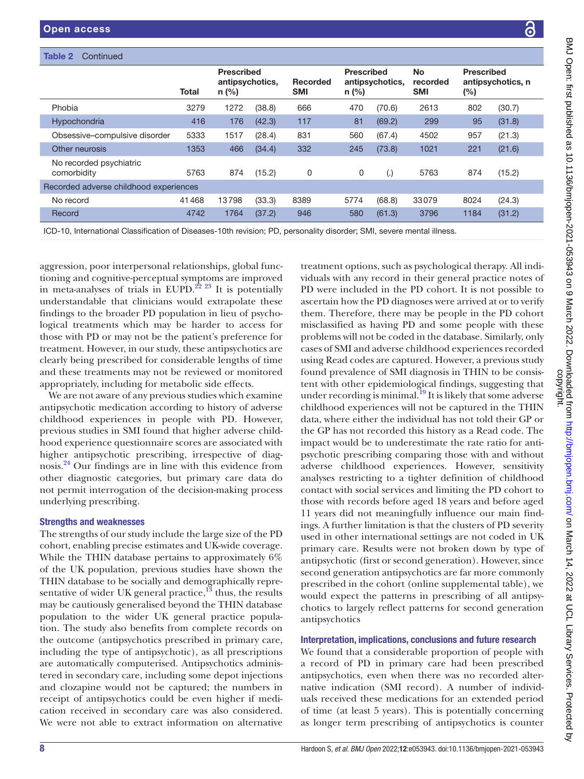| Table 2<br>Continued                                                                                                                                                                                                                                                                                                            |              |                                                 |        |                        |                                                                                                                       |                 |                                                             |                          |                                                                                                                                                                                       |
|---------------------------------------------------------------------------------------------------------------------------------------------------------------------------------------------------------------------------------------------------------------------------------------------------------------------------------|--------------|-------------------------------------------------|--------|------------------------|-----------------------------------------------------------------------------------------------------------------------|-----------------|-------------------------------------------------------------|--------------------------|---------------------------------------------------------------------------------------------------------------------------------------------------------------------------------------|
|                                                                                                                                                                                                                                                                                                                                 | <b>Total</b> | <b>Prescribed</b><br>antipsychotics,<br>$n$ (%) |        | Recorded<br><b>SMI</b> | <b>Prescribed</b><br>$n$ (%)                                                                                          | antipsychotics, | <b>No</b><br>recorded<br><b>SMI</b>                         | <b>Prescribed</b><br>(%) | antipsychotics, n                                                                                                                                                                     |
| Phobia                                                                                                                                                                                                                                                                                                                          | 3279         | 1272                                            | (38.8) | 666                    | 470                                                                                                                   | (70.6)          | 2613                                                        | 802                      | (30.7)                                                                                                                                                                                |
| Hypochondria                                                                                                                                                                                                                                                                                                                    | 416          | 176                                             | (42.3) | 117                    | 81                                                                                                                    | (69.2)          | 299                                                         | 95                       | (31.8)                                                                                                                                                                                |
| Obsessive-compulsive disorder                                                                                                                                                                                                                                                                                                   | 5333         | 1517                                            | (28.4) | 831                    | 560                                                                                                                   | (67.4)          | 4502                                                        | 957                      | (21.3)                                                                                                                                                                                |
| Other neurosis                                                                                                                                                                                                                                                                                                                  | 1353         | 466                                             | (34.4) | 332                    | 245                                                                                                                   | (73.8)          | 1021                                                        | 221                      | (21.6)                                                                                                                                                                                |
| No recorded psychiatric<br>comorbidity                                                                                                                                                                                                                                                                                          | 5763         | 874                                             | (15.2) | 0                      | 0                                                                                                                     | (.)             | 5763                                                        | 874                      | (15.2)                                                                                                                                                                                |
| Recorded adverse childhood experiences                                                                                                                                                                                                                                                                                          |              |                                                 |        |                        |                                                                                                                       |                 |                                                             |                          |                                                                                                                                                                                       |
| No record                                                                                                                                                                                                                                                                                                                       | 41468        | 13798                                           | (33.3) | 8389                   | 5774                                                                                                                  | (68.8)          | 33079                                                       | 8024                     | (24.3)                                                                                                                                                                                |
| Record                                                                                                                                                                                                                                                                                                                          | 4742         | 1764                                            | (37.2) | 946                    | 580                                                                                                                   | (61.3)          | 3796                                                        | 1184                     | (31.2)                                                                                                                                                                                |
|                                                                                                                                                                                                                                                                                                                                 |              |                                                 |        |                        | ICD-10, International Classification of Diseases-10th revision; PD, personality disorder; SMI, severe mental illness. |                 |                                                             |                          |                                                                                                                                                                                       |
| aggression, poor interpersonal relationships, global func-<br>tioning and cognitive-perceptual symptoms are improved<br>in meta-analyses of trials in EUPD. <sup>22</sup> <sup>23</sup> It is potentially<br>understandable that clinicians would extrapolate these<br>findings to the broader PD population in lieu of psycho- |              |                                                 |        |                        |                                                                                                                       |                 | ascertain how the PD diagnoses were arrived at or to verify |                          | treatment options, such as psychological therapy. All indi-<br>viduals with any record in their general practice notes of<br>PD were included in the PD cohort. It is not possible to |
| logical treatments which may be harder to access for                                                                                                                                                                                                                                                                            |              |                                                 |        |                        |                                                                                                                       |                 |                                                             |                          | them. Therefore, there may be people in the PD cohort<br>misclassified as having PD and some people with these                                                                        |

We are not aware of any previous studies which example. antipsychotic medication according to history of a childhood experiences in people with PD. However, previous studies in SMI found that higher adverse hood experience questionnaire scores are associated with higher antipsychotic prescribing, irrespective of diagnosis.[24](#page-11-13) Our findings are in line with this evidence from other diagnostic categories, but primary care data do not permit interrogation of the decision-making process underlying prescribing.

# Strengths and weaknesses

The strengths of our study include the large size of the PD cohort, enabling precise estimates and UK-wide coverage. While the THIN database pertains to approximately 6% of the UK population, previous studies have shown the THIN database to be socially and demographically representative of wider UK general practice, $^{13}$  thus, the results may be cautiously generalised beyond the THIN database population to the wider UK general practice population. The study also benefits from complete records on the outcome (antipsychotics prescribed in primary care, including the type of antipsychotic), as all prescriptions are automatically computerised. Antipsychotics administered in secondary care, including some depot injections and clozapine would not be captured; the numbers in receipt of antipsychotics could be even higher if medication received in secondary care was also considered. We were not able to extract information on alternative

cohort n these ly, only corded us study found prevalence of SMI diagnosis in THIN to be consisng that under recording is minimal.<sup>19</sup> It is likely that some adverse childhood experiences will not be captured in the THIN data, where either the individual has not told their GP or a Read code. The impact would be to underestimate the rate ratio for antipsychotic prescribing comparing those with and without adverse childhood experiences. However, sensitivity analyses restricting to a tighter definition of childhood contact with social services and limiting the PD cohort to those with records before aged 18 years and before aged 11 years did not meaningfully influence our main findings. A further limitation is that the clusters of PD severity used in other international settings are not coded in UK primary care. Results were not broken down by type of antipsychotic (first or second generation). However, since second generation antipsychotics are far more commonly prescribed in the cohort ([online supplemental table\)](https://dx.doi.org/10.1136/bmjopen-2021-053943), we would expect the patterns in prescribing of all antipsychotics to largely reflect patterns for second generation antipsychotics

# Interpretation, implications, conclusions and future research

We found that a considerable proportion of people with a record of PD in primary care had been prescribed antipsychotics, even when there was no recorded alternative indication (SMI record). A number of individuals received these medications for an extended period of time (at least 5 years). This is potentially concerning as longer term prescribing of antipsychotics is counter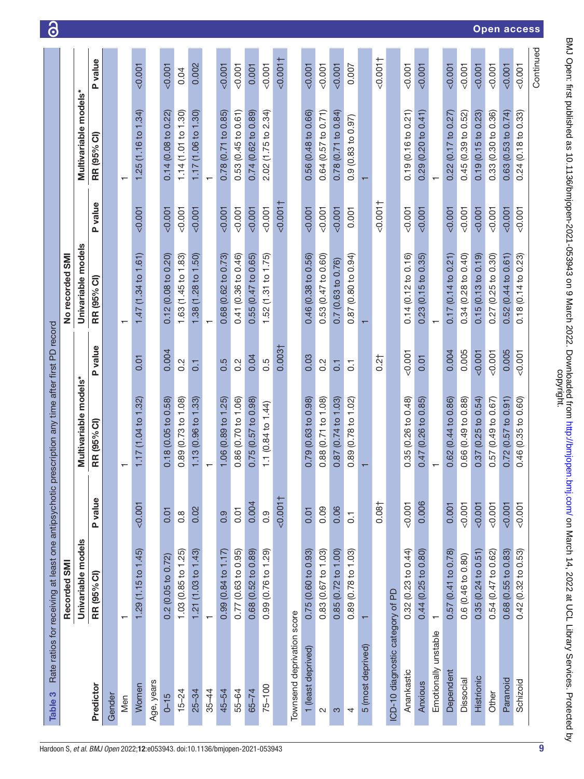| Table 3                          | Rate ratios for receiving at least one antipsychotic prescription any time after first PD record<br>Recorded SMI |                  |                                   |                  | No recorded SMI               |               |                          |             |
|----------------------------------|------------------------------------------------------------------------------------------------------------------|------------------|-----------------------------------|------------------|-------------------------------|---------------|--------------------------|-------------|
|                                  | Univariable models                                                                                               |                  | Multivariable models*             |                  | Univariable models            |               | Multivariable models*    |             |
| Predictor                        | RR (95% CI)                                                                                                      | P value          | RR (95% CI)                       | <b>P</b> value   | RR (95% CI)                   | P value       | RR (95% CI)              | value<br>Δ. |
| Gender                           |                                                                                                                  |                  |                                   |                  |                               |               |                          |             |
| Men                              | $\overline{\phantom{0}}$                                                                                         |                  | $\overline{\phantom{0}}$          |                  | ↽                             |               |                          |             |
| Women                            | 1.29(1.15 to 1.45)                                                                                               | < 0.001          | 1.17(1.04 to 1.32)                | 0.01             | 1.47(1.34 to 1.61)            | $-0.001$      | 1.25(1.16 to 1.34)       | 0.007       |
| Age, years                       |                                                                                                                  |                  |                                   |                  |                               |               |                          |             |
| $0 - 15$                         | 0.2(0.05 to 0.72)                                                                                                | 0.01             | 0.18 (0.05 to 0.58)               | 0.004            | 0.12(0.08 to 0.20)            | 0.001         | 0.14 (0.08 to 0.22)      | 0.001       |
| $15 - 24$                        | 1.03(0.85 to 1.25)                                                                                               | $0.\overline{8}$ | 0.89 (0.73 to 1.08)               | 0.2              | 1.63 (1.45 to 1.83)           | 0.001         | 1.14 (1.01 to 1.30)      | 0.04        |
| $25 - 34$                        | 1.21(1.03 to 1.43)                                                                                               | 0.02             | 1.13(0.96 t <sub>0</sub> 1.33)    | $\overline{0}$   | $1.38(1.28 \text{ to } 1.50)$ | $100.00 - 70$ | 1.17(1.06 to 1.30)       | 0.002       |
| $35 - 44$                        | $\overline{\phantom{m}}$                                                                                         |                  | $\overline{\phantom{0}}$          |                  | $\mathbf{\tau}$               |               | $\overline{\phantom{0}}$ |             |
| 45-54                            | 0.99 (0.84 to 1.17)                                                                                              | 0.9              | 1.06 (0.89 to 1.25)               | 0.5              | 0.68 (0.62 to 0.73)           | 0.001         | 0.78 (0.71 to 0.85)      | 0.001       |
| 55-64                            | 0.77(0.63 to 0.95)                                                                                               | 0.01             | 0.86 (0.70 to 1.06)               | $0.\overline{2}$ | 0.41 (0.36 to 0.46)           | 0.001         | 0.53(0.45 to 0.61)       | 0.001       |
| $65 - 74$                        | 0.68 (0.52 to 0.89)                                                                                              | 0.004            | 0.75 (0.57 to 0.98)               | 0.04             | $0.55(0.47)$ to $0.65$        | < 0.001       | 0.74 (0.62 to 0.89)      | 0.001       |
| $75 - 100$                       | 0.99(0.76 to 1.29)                                                                                               | 0.9              | 1.1 $(0.84 \text{ to } 1.44)$     | 0.5              | 1.52(1.31 to 1.75)            | < 0.001       | 2.02 (1.75 to 2.34)      | 0.001       |
|                                  |                                                                                                                  | 100.001          |                                   | 0.003            |                               | $-0.001$      |                          | $-0.001$    |
| Townsend deprivation score       |                                                                                                                  |                  |                                   |                  |                               |               |                          |             |
| 1 (least deprived)               | 0.75(0.60 to 0.93)                                                                                               | 0.01             | 0.79(0.63 to 0.98)                | 0.03             | 0.46 (0.38 to 0.56)           | 0.001         | 0.56 (0.48 to 0.66)      | < 0.001     |
| $\mathbf{\Omega}$                | 0.83(0.67 to 1.03)                                                                                               | 0.09             | 0.88 (0.71 to 1.08)               | $0.\overline{2}$ | 0.53 (0.47 to 0.60)           | 0.001         | 0.64(0.57 to 0.71)       | 0.001       |
| S                                | 0.85(0.72 to 1.00)                                                                                               | 0.06             | 0.87 (0.74 to 1.03)               | 0.1              | 0.7 (0.63 to 0.76)            | 0.001         | 0.78 (0.71 to 0.84)      | < 0.001     |
| 4                                | 0.89 (0.78 to 1.03)                                                                                              | $\overline{0}$   | 0.89 (0.78 to 1.02)               | $\overline{0}$   | 0.87 (0.80 to 0.94)           | 0.001         | 0.9(0.83 to 0.97)        | 0.007       |
| 5 (most deprived)                |                                                                                                                  |                  | $\overline{\phantom{0}}$          |                  |                               |               |                          |             |
|                                  |                                                                                                                  | 0.081            |                                   | 0.21             |                               | $-0.001$      |                          | $-0.001$    |
| ICD-10 diagnostic category of PD |                                                                                                                  |                  |                                   |                  |                               |               |                          |             |
| Anankastic                       | 0.32(0.23 to 0.44)                                                                                               | 0.001            | 0.35(0.26 to 0.48)                | 0.001            | 0.14(0.12 to 0.16)            | < 0.001       | 0.19 (0.16 to 0.21)      | < 0.001     |
| Anxious                          | 0.44(0.25 to 0.80)                                                                                               | 0.006            | $(0.26 \text{ to } 0.85)$<br>0.47 | 0.01             | 0.23(0.15 to 0.35)            | 0.001         | 0.29(0.20 to 0.41)       | 0.001       |
| Emotionally unstable             |                                                                                                                  |                  | $\overline{\phantom{0}}$          |                  |                               |               |                          |             |
| Dependent                        | 0.57 (0.41 to 0.78)                                                                                              | 0.001            | 0.62 (0.44 to 0.86)               | 0.004            | 0.17(0.14 to 0.21)            | < 0.001       | 0.22(0.17 to 0.27)       | < 0.001     |
| Dissocial                        | 0.6 (0.46 to 0.80)                                                                                               | 0.001            | 0.66 (0.49 to 0.88)               | 0.005            | 0.34(0.28 to 0.40)            | 0.001         | 0.45(0.39 to 0.52)       | 0.001       |
| Histrionic                       | 0.35(0.24 to 0.51)                                                                                               | 0.001            | 0.37(0.25 to 0.54)                | 0.001            | 0.15(0.13 to 0.19)            | 0.001         | 0.19(0.15 to 0.23)       | < 0.001     |
| Other                            | 0.54 (0.47 to 0.62)                                                                                              | 0.001            | 0.57 (0.49 to 0.67)               | < 0.001          | 0.27(0.25 to 0.30)            | 0.001         | 0.33(0.30 to 0.36)       | < 0.001     |
| Paranoid                         | 0.68 (0.55 to 0.83)                                                                                              | < 0.001          | 0.72(0.57 to 0.91)                | 0.005            | 0.52(0.44 to 0.61)            | < 0.001       | 0.63(0.53 to 0.74)       | < 0.001     |
| Schizoid                         | 0.42(0.32 to 0.53)                                                                                               | 0.001            | 0.46 (0.35 to 0.60)               | 0.007            | 0.18(0.14 to 0.23)            | 0.001         | 0.24(0.18 to 0.33)       | 0.001       |
|                                  |                                                                                                                  |                  |                                   |                  |                               |               |                          | Continued   |

BMJ Open: first published as 10.1136/bmjopen-2021-053943 on 9 March 2022. Downloaded from http://bmjopen.bmj.com/ on March 14, 2022 at UCL Library Services. Protected by<br>copyright. BMJ Open: first published as 10.1136/bmjopen-2021-053943 on 9 March 2022. Downloaded from <http://bmjopen.bmj.com/> on March 14, 2022 at UCL Library Services. Protected by

<span id="page-8-0"></span>9

Open access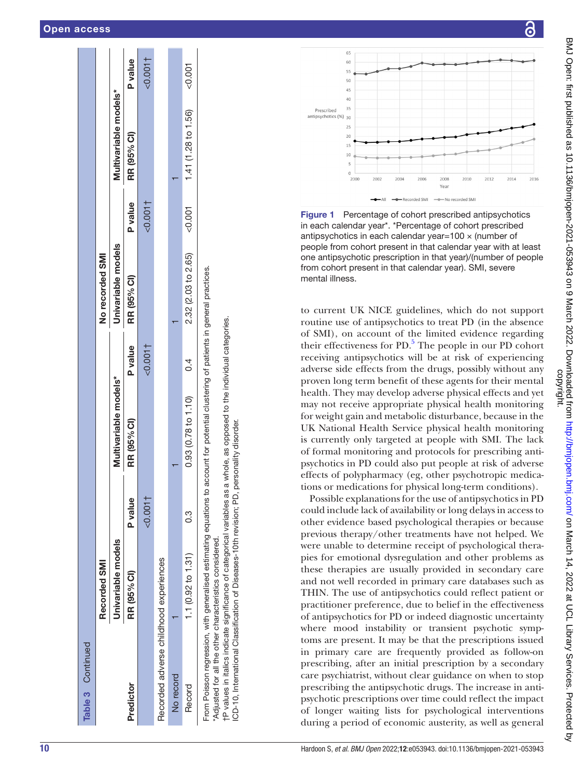| Table 3 Continued                                                                                                                                                                                                                                                                                                                                                                                                       |                       |                |                               |                |                     |          |                       |         |
|-------------------------------------------------------------------------------------------------------------------------------------------------------------------------------------------------------------------------------------------------------------------------------------------------------------------------------------------------------------------------------------------------------------------------|-----------------------|----------------|-------------------------------|----------------|---------------------|----------|-----------------------|---------|
|                                                                                                                                                                                                                                                                                                                                                                                                                         | Recorded SMI          |                |                               |                | No recorded SMI     |          |                       |         |
|                                                                                                                                                                                                                                                                                                                                                                                                                         | Univariable models    |                | Multivariable models*         |                | Univariable models  |          | Multivariable models* |         |
| Predictor                                                                                                                                                                                                                                                                                                                                                                                                               | RR (95% Cl)           | <b>P</b> value | RR (95% CI)                   | <b>P</b> value | RR (95% CI)         | P value  | RR (95% CI)           | P value |
|                                                                                                                                                                                                                                                                                                                                                                                                                         |                       | 0.001          |                               | $-0.001$       |                     | $-0.001$ |                       | 0.001   |
| Recorded adverse childhood experiences                                                                                                                                                                                                                                                                                                                                                                                  |                       |                |                               |                |                     |          |                       |         |
| No record                                                                                                                                                                                                                                                                                                                                                                                                               |                       |                |                               |                |                     |          |                       |         |
| Record                                                                                                                                                                                                                                                                                                                                                                                                                  | 1.1 ( $0.92$ to 1.31) | C.G            | $0.93(0.78 \text{ to } 1.10)$ | $\sigma$       | 2.32 (2.03 to 2.65) | 500.001  | 1.41 (1.28 to 1.56)   | &0.001  |
| From Poisson regression, with generalised estimating equations to account for potential clustering of patients in general practices.<br>tP values in italics indicate significance of categorical variables as a whole, as opposed to the individual categories.<br>ICD-10, International Classification of Diseases-10th revision; PD, personality disorder.<br>Adjusted for all the other characteristics considered. |                       |                |                               |                |                     |          |                       |         |



<span id="page-9-0"></span>Figure 1 Percentage of cohort prescribed antipsychotics in each calendar year\*. \*Percentage of cohort prescribed antipsychotics in each calendar year=100 × (number of people from cohort present in that calendar year with at least one antipsychotic prescription in that year)/(number of people from cohort present in that calendar year). SMI, severe mental illness.

to current UK NICE guidelines, which do not support routine use of antipsychotics to treat PD (in the absence of SMI), on account of the limited evidence regarding their effectiveness for PD. [5](#page-10-4) The people in our PD cohort receiving antipsychotics will be at risk of experiencing adverse side effects from the drugs, possibly without any proven long term benefit of these agents for their mental health. They may develop adverse physical effects and yet may not receive appropriate physical health monitoring for weight gain and metabolic disturbance, because in the UK National Health Service physical health monitoring is currently only targeted at people with SMI. The lack of formal monitoring and protocols for prescribing anti psychotics in PD could also put people at risk of adverse effects of polypharmacy (eg, other psychotropic medications or medications for physical long-term conditions).

Possible explanations for the use of antipsychotics in PD could include lack of availability or long delays in access to other evidence based psychological therapies or because previous therapy/other treatments have not helped. We were unable to determine receipt of psychological therapies for emotional dysregulation and other problems as these therapies are usually provided in secondary care and not well recorded in primary care databases such as THIN. The use of antipsychotics could reflect patient or practitioner preference, due to belief in the effectiveness of antipsychotics for PD or indeed diagnostic uncertainty where mood instability or transient psychotic symp toms are present. It may be that the prescriptions issued in primary care are frequently provided as follow-on prescribing, after an initial prescription by a secondary care psychiatrist, without clear guidance on when to stop prescribing the antipsychotic drugs. The increase in anti psychotic prescriptions over time could reflect the impact of longer waiting lists for psychological interventions during a period of economic austerity, as well as general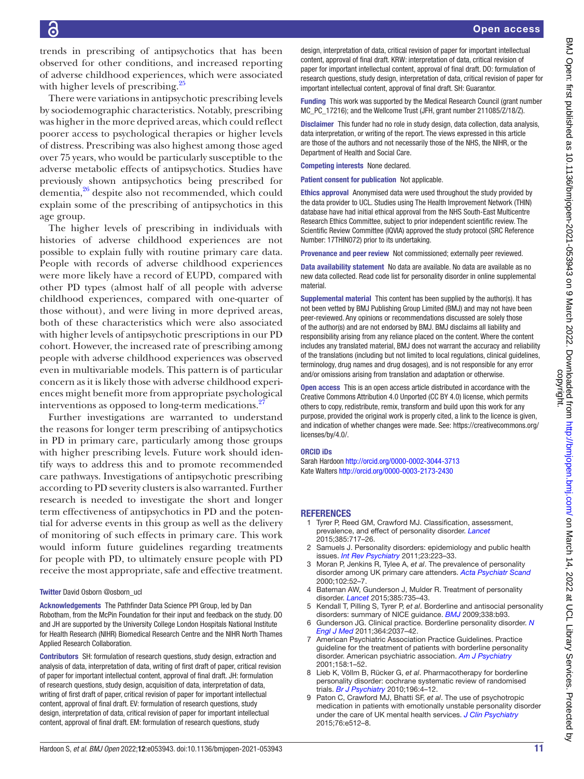trends in prescribing of antipsychotics that has been observed for other conditions, and increased reporting of adverse childhood experiences, which were associated with higher levels of prescribing.<sup>25</sup>

There were variations in antipsychotic prescribing levels by sociodemographic characteristics. Notably, prescribing was higher in the more deprived areas, which could reflect poorer access to psychological therapies or higher levels of distress. Prescribing was also highest among those aged over 75 years, who would be particularly susceptible to the adverse metabolic effects of antipsychotics. Studies have previously shown antipsychotics being prescribed for dementia,<sup>26</sup> despite also not recommended, which could explain some of the prescribing of antipsychotics in this age group.

The higher levels of prescribing in individuals with histories of adverse childhood experiences are not possible to explain fully with routine primary care data. People with records of adverse childhood experiences were more likely have a record of EUPD, compared with other PD types (almost half of all people with adverse childhood experiences, compared with one-quarter of those without), and were living in more deprived areas, both of these characteristics which were also associated with higher levels of antipsychotic prescriptions in our PD cohort. However, the increased rate of prescribing among people with adverse childhood experiences was observed even in multivariable models. This pattern is of particular concern as it is likely those with adverse childhood experiences might benefit more from appropriate psychological interventions as opposed to long-term medications.<sup>2</sup>

Further investigations are warranted to understand the reasons for longer term prescribing of antipsychotics in PD in primary care, particularly among those groups with higher prescribing levels. Future work should identify ways to address this and to promote recommended care pathways. Investigations of antipsychotic prescribing according to PD severity clusters is also warranted. Further research is needed to investigate the short and longer term effectiveness of antipsychotics in PD and the potential for adverse events in this group as well as the delivery of monitoring of such effects in primary care. This work would inform future guidelines regarding treatments for people with PD, to ultimately ensure people with PD receive the most appropriate, safe and effective treatment.

#### Twitter David Osborn [@osborn\\_ucl](https://twitter.com/osborn_ucl)

Acknowledgements The Pathfinder Data Science PPI Group, led by Dan Robotham, from the McPin Foundation for their input and feedback on the study. DO and JH are supported by the University College London Hospitals National Institute for Health Research (NIHR) Biomedical Research Centre and the NIHR North Thames Applied Research Collaboration.

Contributors SH: formulation of research questions, study design, extraction and analysis of data, interpretation of data, writing of first draft of paper, critical revision of paper for important intellectual content, approval of final draft. JH: formulation of research questions, study design, acquisition of data, interpretation of data, writing of first draft of paper, critical revision of paper for important intellectual content, approval of final draft. EV: formulation of research questions, study design, interpretation of data, critical revision of paper for important intellectual content, approval of final draft. EM: formulation of research questions, study

design, interpretation of data, critical revision of paper for important intellectual content, approval of final draft. KRW: interpretation of data, critical revision of paper for important intellectual content, approval of final draft. DO: formulation of research questions, study design, interpretation of data, critical revision of paper for important intellectual content, approval of final draft. SH: Guarantor.

Funding This work was supported by the Medical Research Council (grant number MC\_PC\_17216); and the Wellcome Trust (JFH, grant number 211085/Z/18/Z).

Disclaimer This funder had no role in study design, data collection, data analysis, data interpretation, or writing of the report. The views expressed in this article are those of the authors and not necessarily those of the NHS, the NIHR, or the Department of Health and Social Care.

Competing interests None declared.

Patient consent for publication Not applicable.

Ethics approval Anonymised data were used throughout the study provided by the data provider to UCL. Studies using The Health Improvement Network (THIN) database have had initial ethical approval from the NHS South-East Multicentre Research Ethics Committee, subject to prior independent scientific review. The Scientific Review Committee (IQVIA) approved the study protocol (SRC Reference Number: 17THIN072) prior to its undertaking.

Provenance and peer review Not commissioned; externally peer reviewed.

Data availability statement No data are available. No data are available as no new data collected. Read code list for personality disorder in online supplemental material.

Supplemental material This content has been supplied by the author(s). It has not been vetted by BMJ Publishing Group Limited (BMJ) and may not have been peer-reviewed. Any opinions or recommendations discussed are solely those of the author(s) and are not endorsed by BMJ. BMJ disclaims all liability and responsibility arising from any reliance placed on the content. Where the content includes any translated material, BMJ does not warrant the accuracy and reliability of the translations (including but not limited to local regulations, clinical guidelines, terminology, drug names and drug dosages), and is not responsible for any error and/or omissions arising from translation and adaptation or otherwise.

Open access This is an open access article distributed in accordance with the Creative Commons Attribution 4.0 Unported (CC BY 4.0) license, which permits others to copy, redistribute, remix, transform and build upon this work for any purpose, provided the original work is properly cited, a link to the licence is given, and indication of whether changes were made. See: [https://creativecommons.org/](https://creativecommons.org/licenses/by/4.0/) [licenses/by/4.0/](https://creativecommons.org/licenses/by/4.0/).

#### ORCID iDs

Sarah Hardoon <http://orcid.org/0000-0002-3044-3713> Kate Walters<http://orcid.org/0000-0003-2173-2430>

#### **REFERENCES**

- <span id="page-10-0"></span>1 Tyrer P, Reed GM, Crawford MJ. Classification, assessment, prevalence, and effect of personality disorder. *[Lancet](http://dx.doi.org/10.1016/S0140-6736(14)61995-4)* 2015;385:717–26.
- <span id="page-10-1"></span>Samuels J. Personality disorders: epidemiology and public health issues. *[Int Rev Psychiatry](http://dx.doi.org/10.3109/09540261.2011.588200)* 2011;23:223–33.
- <span id="page-10-2"></span>3 Moran P, Jenkins R, Tylee A, *et al*. The prevalence of personality disorder among UK primary care attenders. *[Acta Psychiatr Scand](http://dx.doi.org/10.1034/j.1600-0447.2000.102001052.x)* 2000;102:52–7.
- <span id="page-10-3"></span>Bateman AW, Gunderson J, Mulder R. Treatment of personality disorder. *[Lancet](http://dx.doi.org/10.1016/S0140-6736(14)61394-5)* 2015;385:735–43.
- <span id="page-10-4"></span>5 Kendall T, Pilling S, Tyrer P, *et al*. Borderline and antisocial personality disorders: summary of NICE guidance. *[BMJ](http://dx.doi.org/10.1136/bmj.b93)* 2009;338:b93.
- <span id="page-10-5"></span>6 Gunderson JG. Clinical practice. Borderline personality disorder. *[N](http://dx.doi.org/10.1056/NEJMcp1007358)  [Engl J Med](http://dx.doi.org/10.1056/NEJMcp1007358)* 2011;364:2037–42.
- <span id="page-10-6"></span>7 American Psychiatric Association Practice Guidelines. Practice guideline for the treatment of patients with borderline personality disorder. American psychiatric association. *[Am J Psychiatry](http://www.ncbi.nlm.nih.gov/pubmed/11665545)* 2001;158:1–52.
- <span id="page-10-7"></span>8 Lieb K, Völlm B, Rücker G, *et al*. Pharmacotherapy for borderline personality disorder: cochrane systematic review of randomised trials. *[Br J Psychiatry](http://dx.doi.org/10.1192/bjp.bp.108.062984)* 2010;196:4–12.
- <span id="page-10-8"></span>9 Paton C, Crawford MJ, Bhatti SF, *et al*. The use of psychotropic medication in patients with emotionally unstable personality disorder under the care of UK mental health services. *[J Clin Psychiatry](http://dx.doi.org/10.4088/JCP.14m09228)* 2015;76:e512–8.